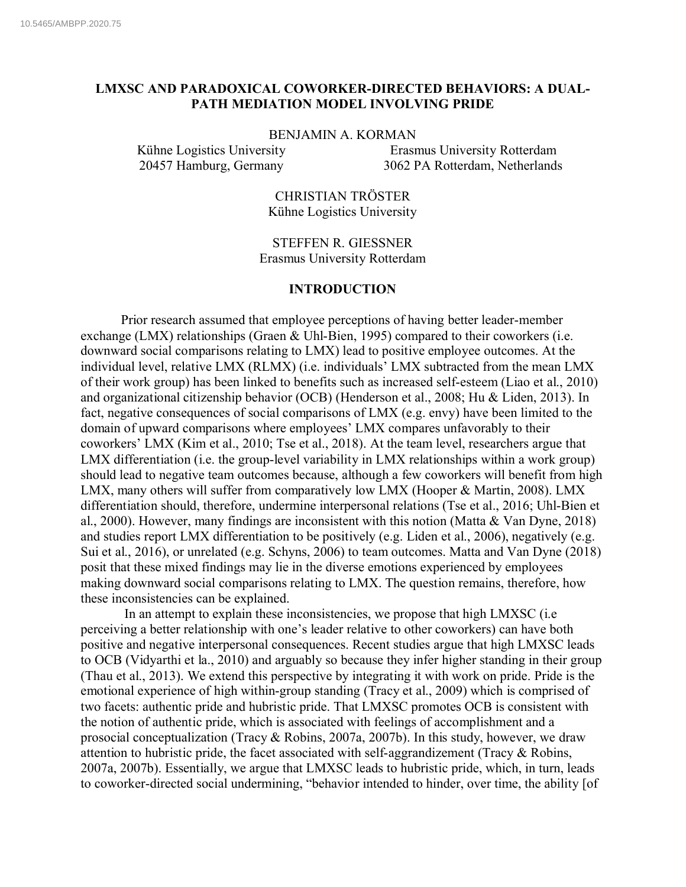# **LMXSC AND PARADOXICAL COWORKER-DIRECTED BEHAVIORS: A DUAL-PATH MEDIATION MODEL INVOLVING PRIDE**

#### BENJAMIN A. KORMAN

Kühne Logistics University Erasmus University Rotterdam 20457 Hamburg, Germany 3062 PA Rotterdam, Netherlands

> CHRISTIAN TRÖSTER Kühne Logistics University

STEFFEN R. GIESSNER Erasmus University Rotterdam

### **INTRODUCTION**

Prior research assumed that employee perceptions of having better leader-member exchange (LMX) relationships (Graen & Uhl-Bien, 1995) compared to their coworkers (i.e. downward social comparisons relating to LMX) lead to positive employee outcomes. At the individual level, relative LMX (RLMX) (i.e. individuals' LMX subtracted from the mean LMX of their work group) has been linked to benefits such as increased self-esteem (Liao et al., 2010) and organizational citizenship behavior (OCB) (Henderson et al., 2008; Hu & Liden, 2013). In fact, negative consequences of social comparisons of LMX (e.g. envy) have been limited to the domain of upward comparisons where employees' LMX compares unfavorably to their coworkers' LMX (Kim et al., 2010; Tse et al., 2018). At the team level, researchers argue that LMX differentiation (i.e. the group-level variability in LMX relationships within a work group) should lead to negative team outcomes because, although a few coworkers will benefit from high LMX, many others will suffer from comparatively low LMX (Hooper & Martin, 2008). LMX differentiation should, therefore, undermine interpersonal relations (Tse et al., 2016; Uhl-Bien et al., 2000). However, many findings are inconsistent with this notion (Matta & Van Dyne, 2018) and studies report LMX differentiation to be positively (e.g. Liden et al., 2006), negatively (e.g. Sui et al., 2016), or unrelated (e.g. Schyns, 2006) to team outcomes. Matta and Van Dyne (2018) posit that these mixed findings may lie in the diverse emotions experienced by employees making downward social comparisons relating to LMX. The question remains, therefore, how these inconsistencies can be explained.

In an attempt to explain these inconsistencies, we propose that high LMXSC (i.e perceiving a better relationship with one's leader relative to other coworkers) can have both positive and negative interpersonal consequences. Recent studies argue that high LMXSC leads to OCB (Vidyarthi et la., 2010) and arguably so because they infer higher standing in their group (Thau et al., 2013). We extend this perspective by integrating it with work on pride. Pride is the emotional experience of high within-group standing (Tracy et al., 2009) which is comprised of two facets: authentic pride and hubristic pride. That LMXSC promotes OCB is consistent with the notion of authentic pride, which is associated with feelings of accomplishment and a prosocial conceptualization (Tracy & Robins, 2007a, 2007b). In this study, however, we draw attention to hubristic pride, the facet associated with self-aggrandizement (Tracy & Robins, 2007a, 2007b). Essentially, we argue that LMXSC leads to hubristic pride, which, in turn, leads to coworker-directed social undermining, "behavior intended to hinder, over time, the ability [of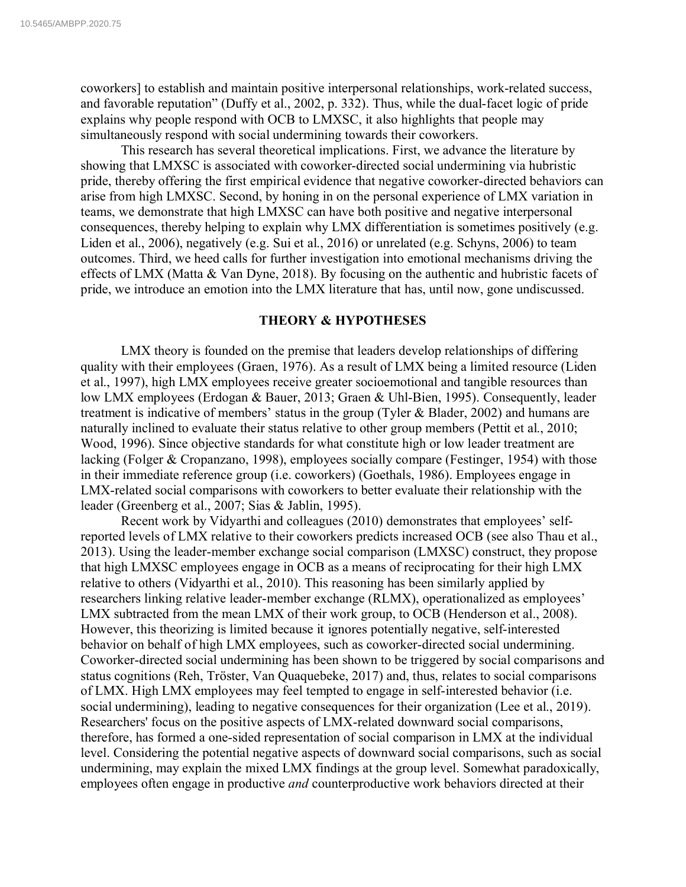coworkers] to establish and maintain positive interpersonal relationships, work-related success, and favorable reputation" (Duffy et al., 2002, p. 332). Thus, while the dual-facet logic of pride explains why people respond with OCB to LMXSC, it also highlights that people may simultaneously respond with social undermining towards their coworkers.

This research has several theoretical implications. First, we advance the literature by showing that LMXSC is associated with coworker-directed social undermining via hubristic pride, thereby offering the first empirical evidence that negative coworker-directed behaviors can arise from high LMXSC. Second, by honing in on the personal experience of LMX variation in teams, we demonstrate that high LMXSC can have both positive and negative interpersonal consequences, thereby helping to explain why LMX differentiation is sometimes positively (e.g. Liden et al., 2006), negatively (e.g. Sui et al., 2016) or unrelated (e.g. Schyns, 2006) to team outcomes. Third, we heed calls for further investigation into emotional mechanisms driving the effects of LMX (Matta & Van Dyne, 2018). By focusing on the authentic and hubristic facets of pride, we introduce an emotion into the LMX literature that has, until now, gone undiscussed.

# **THEORY & HYPOTHESES**

LMX theory is founded on the premise that leaders develop relationships of differing quality with their employees (Graen, 1976). As a result of LMX being a limited resource (Liden et al., 1997), high LMX employees receive greater socioemotional and tangible resources than low LMX employees (Erdogan & Bauer, 2013; Graen & Uhl-Bien, 1995). Consequently, leader treatment is indicative of members' status in the group (Tyler & Blader, 2002) and humans are naturally inclined to evaluate their status relative to other group members (Pettit et al., 2010; Wood, 1996). Since objective standards for what constitute high or low leader treatment are lacking (Folger & Cropanzano, 1998), employees socially compare (Festinger, 1954) with those in their immediate reference group (i.e. coworkers) (Goethals, 1986). Employees engage in LMX-related social comparisons with coworkers to better evaluate their relationship with the leader (Greenberg et al., 2007; Sias & Jablin, 1995).

Recent work by Vidyarthi and colleagues (2010) demonstrates that employees' selfreported levels of LMX relative to their coworkers predicts increased OCB (see also Thau et al., 2013). Using the leader-member exchange social comparison (LMXSC) construct, they propose that high LMXSC employees engage in OCB as a means of reciprocating for their high LMX relative to others (Vidyarthi et al., 2010). This reasoning has been similarly applied by researchers linking relative leader-member exchange (RLMX), operationalized as employees' LMX subtracted from the mean LMX of their work group, to OCB (Henderson et al., 2008). However, this theorizing is limited because it ignores potentially negative, self-interested behavior on behalf of high LMX employees, such as coworker-directed social undermining. Coworker-directed social undermining has been shown to be triggered by social comparisons and status cognitions (Reh, Tröster, Van Quaquebeke, 2017) and, thus, relates to social comparisons of LMX. High LMX employees may feel tempted to engage in self-interested behavior (i.e. social undermining), leading to negative consequences for their organization (Lee et al., 2019). Researchers' focus on the positive aspects of LMX-related downward social comparisons, therefore, has formed a one-sided representation of social comparison in LMX at the individual level. Considering the potential negative aspects of downward social comparisons, such as social undermining, may explain the mixed LMX findings at the group level. Somewhat paradoxically, employees often engage in productive *and* counterproductive work behaviors directed at their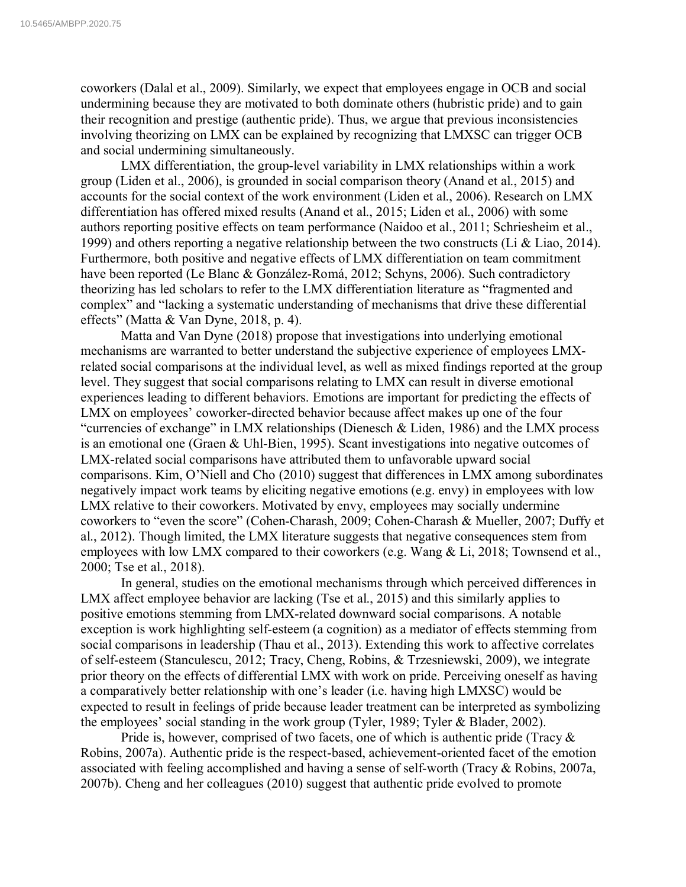coworkers (Dalal et al., 2009). Similarly, we expect that employees engage in OCB and social undermining because they are motivated to both dominate others (hubristic pride) and to gain their recognition and prestige (authentic pride). Thus, we argue that previous inconsistencies involving theorizing on LMX can be explained by recognizing that LMXSC can trigger OCB and social undermining simultaneously.

LMX differentiation, the group-level variability in LMX relationships within a work group (Liden et al., 2006), is grounded in social comparison theory (Anand et al., 2015) and accounts for the social context of the work environment (Liden et al., 2006). Research on LMX differentiation has offered mixed results (Anand et al., 2015; Liden et al., 2006) with some authors reporting positive effects on team performance (Naidoo et al., 2011; Schriesheim et al., 1999) and others reporting a negative relationship between the two constructs (Li & Liao, 2014). Furthermore, both positive and negative effects of LMX differentiation on team commitment have been reported (Le Blanc & González-Romá, 2012; Schyns, 2006). Such contradictory theorizing has led scholars to refer to the LMX differentiation literature as "fragmented and complex" and "lacking a systematic understanding of mechanisms that drive these differential effects" (Matta & Van Dyne, 2018, p. 4).

Matta and Van Dyne (2018) propose that investigations into underlying emotional mechanisms are warranted to better understand the subjective experience of employees LMXrelated social comparisons at the individual level, as well as mixed findings reported at the group level. They suggest that social comparisons relating to LMX can result in diverse emotional experiences leading to different behaviors. Emotions are important for predicting the effects of LMX on employees' coworker-directed behavior because affect makes up one of the four "currencies of exchange" in LMX relationships (Dienesch & Liden, 1986) and the LMX process is an emotional one (Graen & Uhl-Bien, 1995). Scant investigations into negative outcomes of LMX-related social comparisons have attributed them to unfavorable upward social comparisons. Kim, O'Niell and Cho (2010) suggest that differences in LMX among subordinates negatively impact work teams by eliciting negative emotions (e.g. envy) in employees with low LMX relative to their coworkers. Motivated by envy, employees may socially undermine coworkers to "even the score" (Cohen-Charash, 2009; Cohen-Charash & Mueller, 2007; Duffy et al., 2012). Though limited, the LMX literature suggests that negative consequences stem from employees with low LMX compared to their coworkers (e.g. Wang & Li, 2018; Townsend et al., 2000; Tse et al., 2018).

In general, studies on the emotional mechanisms through which perceived differences in LMX affect employee behavior are lacking (Tse et al., 2015) and this similarly applies to positive emotions stemming from LMX-related downward social comparisons. A notable exception is work highlighting self-esteem (a cognition) as a mediator of effects stemming from social comparisons in leadership (Thau et al., 2013). Extending this work to affective correlates of self-esteem (Stanculescu, 2012; Tracy, Cheng, Robins, & Trzesniewski, 2009), we integrate prior theory on the effects of differential LMX with work on pride. Perceiving oneself as having a comparatively better relationship with one's leader (i.e. having high LMXSC) would be expected to result in feelings of pride because leader treatment can be interpreted as symbolizing the employees' social standing in the work group (Tyler, 1989; Tyler & Blader, 2002).

Pride is, however, comprised of two facets, one of which is authentic pride (Tracy  $\&$ Robins, 2007a). Authentic pride is the respect-based, achievement-oriented facet of the emotion associated with feeling accomplished and having a sense of self-worth (Tracy & Robins, 2007a, 2007b). Cheng and her colleagues (2010) suggest that authentic pride evolved to promote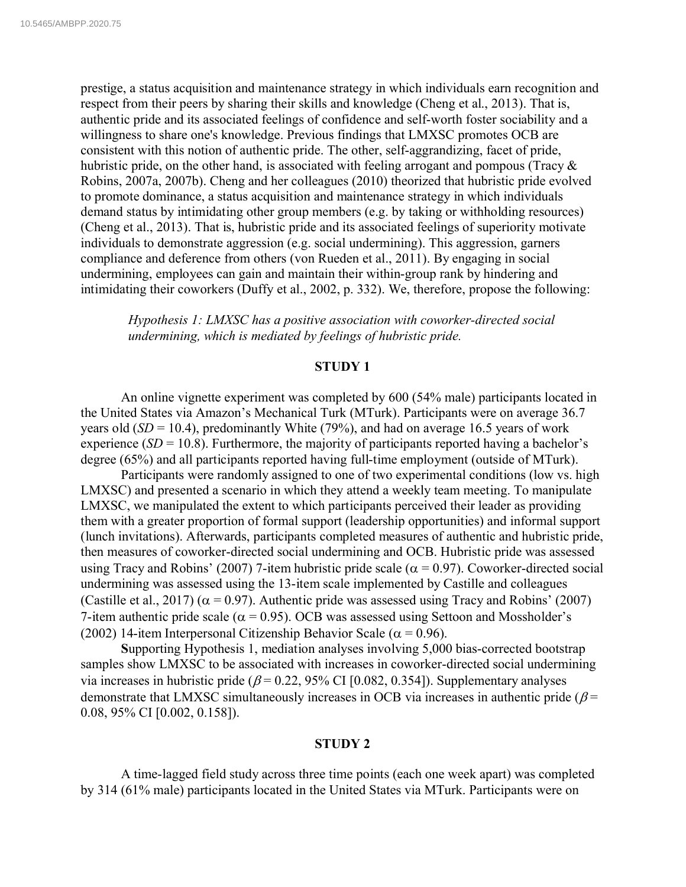prestige, a status acquisition and maintenance strategy in which individuals earn recognition and respect from their peers by sharing their skills and knowledge (Cheng et al., 2013). That is, authentic pride and its associated feelings of confidence and self-worth foster sociability and a willingness to share one's knowledge. Previous findings that LMXSC promotes OCB are consistent with this notion of authentic pride. The other, self-aggrandizing, facet of pride, hubristic pride, on the other hand, is associated with feeling arrogant and pompous (Tracy & Robins, 2007a, 2007b). Cheng and her colleagues (2010) theorized that hubristic pride evolved to promote dominance, a status acquisition and maintenance strategy in which individuals demand status by intimidating other group members (e.g. by taking or withholding resources) (Cheng et al., 2013). That is, hubristic pride and its associated feelings of superiority motivate individuals to demonstrate aggression (e.g. social undermining). This aggression, garners compliance and deference from others (von Rueden et al., 2011). By engaging in social undermining, employees can gain and maintain their within-group rank by hindering and intimidating their coworkers (Duffy et al., 2002, p. 332). We, therefore, propose the following:

*Hypothesis 1: LMXSC has a positive association with coworker-directed social undermining, which is mediated by feelings of hubristic pride.*

#### **STUDY 1**

An online vignette experiment was completed by 600 (54% male) participants located in the United States via Amazon's Mechanical Turk (MTurk). Participants were on average 36.7 years old (*SD* = 10.4), predominantly White (79%), and had on average 16.5 years of work experience  $(SD = 10.8)$ . Furthermore, the majority of participants reported having a bachelor's degree (65%) and all participants reported having full-time employment (outside of MTurk).

Participants were randomly assigned to one of two experimental conditions (low vs. high LMXSC) and presented a scenario in which they attend a weekly team meeting. To manipulate LMXSC, we manipulated the extent to which participants perceived their leader as providing them with a greater proportion of formal support (leadership opportunities) and informal support (lunch invitations). Afterwards, participants completed measures of authentic and hubristic pride, then measures of coworker-directed social undermining and OCB. Hubristic pride was assessed using Tracy and Robins' (2007) 7-item hubristic pride scale ( $\alpha$  = 0.97). Coworker-directed social undermining was assessed using the 13-item scale implemented by Castille and colleagues (Castille et al., 2017) ( $\alpha$  = 0.97). Authentic pride was assessed using Tracy and Robins' (2007) 7-item authentic pride scale ( $\alpha$  = 0.95). OCB was assessed using Settoon and Mossholder's (2002) 14-item Interpersonal Citizenship Behavior Scale ( $\alpha$  = 0.96).

**S**upporting Hypothesis 1, mediation analyses involving 5,000 bias-corrected bootstrap samples show LMXSC to be associated with increases in coworker-directed social undermining via increases in hubristic pride ( $\beta$  = 0.22, 95% CI [0.082, 0.354]). Supplementary analyses demonstrate that LMXSC simultaneously increases in OCB via increases in authentic pride ( $\beta$  = 0.08, 95% CI [0.002, 0.158]).

#### **STUDY 2**

A time-lagged field study across three time points (each one week apart) was completed by 314 (61% male) participants located in the United States via MTurk. Participants were on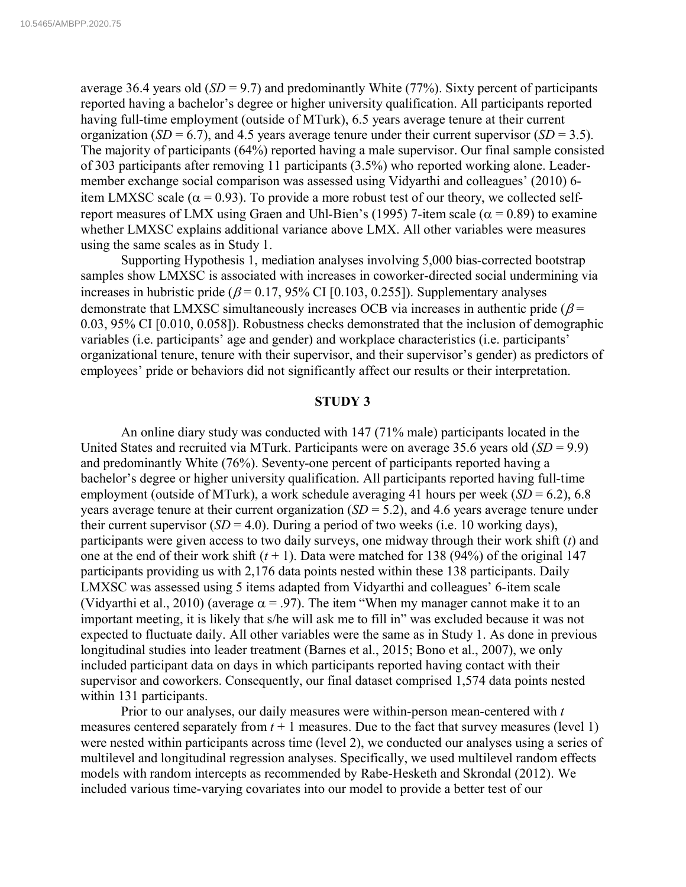average 36.4 years old  $(SD = 9.7)$  and predominantly White (77%). Sixty percent of participants reported having a bachelor's degree or higher university qualification. All participants reported having full-time employment (outside of MTurk), 6.5 years average tenure at their current organization (*SD* = 6.7), and 4.5 years average tenure under their current supervisor (*SD* = 3.5). The majority of participants (64%) reported having a male supervisor. Our final sample consisted of 303 participants after removing 11 participants (3.5%) who reported working alone. Leadermember exchange social comparison was assessed using Vidyarthi and colleagues' (2010) 6 item LMXSC scale ( $\alpha$  = 0.93). To provide a more robust test of our theory, we collected selfreport measures of LMX using Graen and Uhl-Bien's (1995) 7-item scale ( $\alpha$  = 0.89) to examine whether LMXSC explains additional variance above LMX. All other variables were measures using the same scales as in Study 1.

Supporting Hypothesis 1, mediation analyses involving 5,000 bias-corrected bootstrap samples show LMXSC is associated with increases in coworker-directed social undermining via increases in hubristic pride ( $\beta$  = 0.17, 95% CI [0.103, 0.255]). Supplementary analyses demonstrate that LMXSC simultaneously increases OCB via increases in authentic pride ( $\beta$  = 0.03, 95% CI [0.010, 0.058]). Robustness checks demonstrated that the inclusion of demographic variables (i.e. participants' age and gender) and workplace characteristics (i.e. participants' organizational tenure, tenure with their supervisor, and their supervisor's gender) as predictors of employees' pride or behaviors did not significantly affect our results or their interpretation.

#### **STUDY 3**

An online diary study was conducted with 147 (71% male) participants located in the United States and recruited via MTurk. Participants were on average 35.6 years old (*SD* = 9.9) and predominantly White (76%). Seventy-one percent of participants reported having a bachelor's degree or higher university qualification. All participants reported having full-time employment (outside of MTurk), a work schedule averaging 41 hours per week  $(SD = 6.2)$ , 6.8 years average tenure at their current organization (*SD* = 5.2), and 4.6 years average tenure under their current supervisor  $(SD = 4.0)$ . During a period of two weeks (i.e. 10 working days), participants were given access to two daily surveys, one midway through their work shift (*t*) and one at the end of their work shift  $(t + 1)$ . Data were matched for 138 (94%) of the original 147 participants providing us with 2,176 data points nested within these 138 participants. Daily LMXSC was assessed using 5 items adapted from Vidyarthi and colleagues' 6-item scale (Vidyarthi et al., 2010) (average  $\alpha$  = .97). The item "When my manager cannot make it to an important meeting, it is likely that s/he will ask me to fill in" was excluded because it was not expected to fluctuate daily. All other variables were the same as in Study 1. As done in previous longitudinal studies into leader treatment (Barnes et al., 2015; Bono et al., 2007), we only included participant data on days in which participants reported having contact with their supervisor and coworkers. Consequently, our final dataset comprised 1,574 data points nested within 131 participants.

Prior to our analyses, our daily measures were within-person mean-centered with *t* measures centered separately from  $t + 1$  measures. Due to the fact that survey measures (level 1) were nested within participants across time (level 2), we conducted our analyses using a series of multilevel and longitudinal regression analyses. Specifically, we used multilevel random effects models with random intercepts as recommended by Rabe-Hesketh and Skrondal (2012). We included various time-varying covariates into our model to provide a better test of our